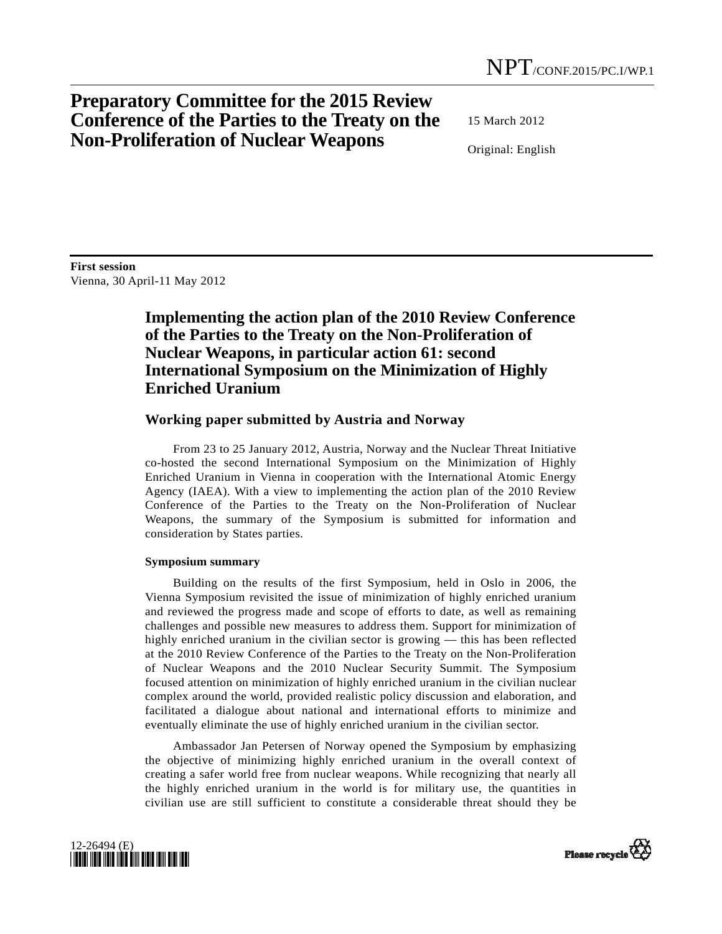# **Preparatory Committee for the 2015 Review Conference of the Parties to the Treaty on the Non-Proliferation of Nuclear Weapons**

15 March 2012

Original: English

**First session**  Vienna, 30 April-11 May 2012

## **Implementing the action plan of the 2010 Review Conference of the Parties to the Treaty on the Non-Proliferation of Nuclear Weapons, in particular action 61: second International Symposium on the Minimization of Highly Enriched Uranium**

### **Working paper submitted by Austria and Norway**

 From 23 to 25 January 2012, Austria, Norway and the Nuclear Threat Initiative co-hosted the second International Symposium on the Minimization of Highly Enriched Uranium in Vienna in cooperation with the International Atomic Energy Agency (IAEA). With a view to implementing the action plan of the 2010 Review Conference of the Parties to the Treaty on the Non-Proliferation of Nuclear Weapons, the summary of the Symposium is submitted for information and consideration by States parties.

#### **Symposium summary**

 Building on the results of the first Symposium, held in Oslo in 2006, the Vienna Symposium revisited the issue of minimization of highly enriched uranium and reviewed the progress made and scope of efforts to date, as well as remaining challenges and possible new measures to address them. Support for minimization of highly enriched uranium in the civilian sector is growing — this has been reflected at the 2010 Review Conference of the Parties to the Treaty on the Non-Proliferation of Nuclear Weapons and the 2010 Nuclear Security Summit. The Symposium focused attention on minimization of highly enriched uranium in the civilian nuclear complex around the world, provided realistic policy discussion and elaboration, and facilitated a dialogue about national and international efforts to minimize and eventually eliminate the use of highly enriched uranium in the civilian sector.

 Ambassador Jan Petersen of Norway opened the Symposium by emphasizing the objective of minimizing highly enriched uranium in the overall context of creating a safer world free from nuclear weapons. While recognizing that nearly all the highly enriched uranium in the world is for military use, the quantities in civilian use are still sufficient to constitute a considerable threat should they be



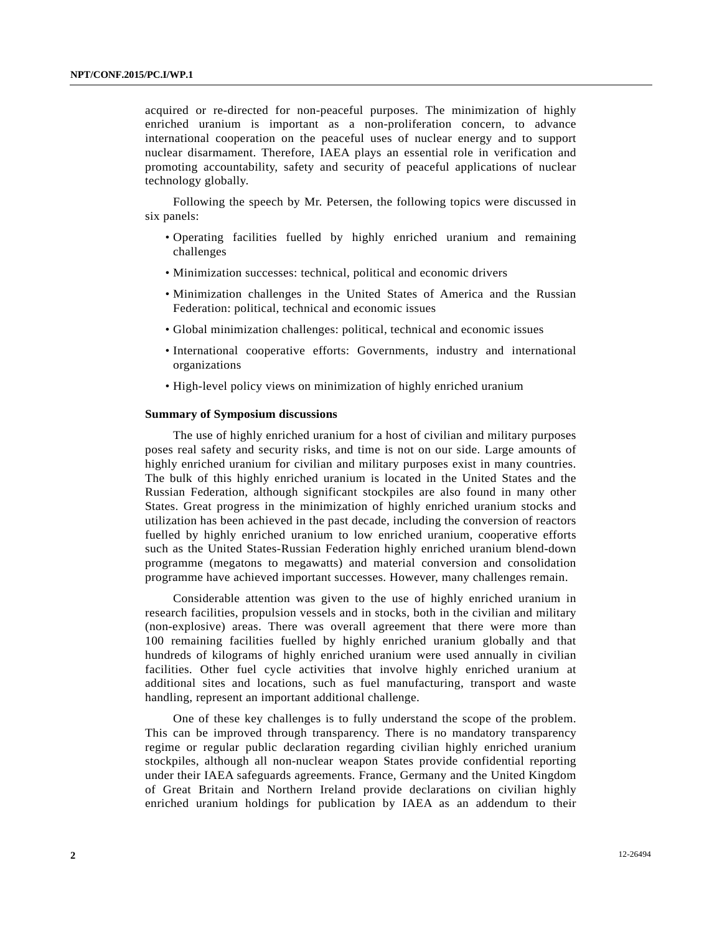acquired or re-directed for non-peaceful purposes. The minimization of highly enriched uranium is important as a non-proliferation concern, to advance international cooperation on the peaceful uses of nuclear energy and to support nuclear disarmament. Therefore, IAEA plays an essential role in verification and promoting accountability, safety and security of peaceful applications of nuclear technology globally.

 Following the speech by Mr. Petersen, the following topics were discussed in six panels:

- Operating facilities fuelled by highly enriched uranium and remaining challenges
- Minimization successes: technical, political and economic drivers
- Minimization challenges in the United States of America and the Russian Federation: political, technical and economic issues
- Global minimization challenges: political, technical and economic issues
- International cooperative efforts: Governments, industry and international organizations
- High-level policy views on minimization of highly enriched uranium

#### **Summary of Symposium discussions**

 The use of highly enriched uranium for a host of civilian and military purposes poses real safety and security risks, and time is not on our side. Large amounts of highly enriched uranium for civilian and military purposes exist in many countries. The bulk of this highly enriched uranium is located in the United States and the Russian Federation, although significant stockpiles are also found in many other States. Great progress in the minimization of highly enriched uranium stocks and utilization has been achieved in the past decade, including the conversion of reactors fuelled by highly enriched uranium to low enriched uranium, cooperative efforts such as the United States-Russian Federation highly enriched uranium blend-down programme (megatons to megawatts) and material conversion and consolidation programme have achieved important successes. However, many challenges remain.

 Considerable attention was given to the use of highly enriched uranium in research facilities, propulsion vessels and in stocks, both in the civilian and military (non-explosive) areas. There was overall agreement that there were more than 100 remaining facilities fuelled by highly enriched uranium globally and that hundreds of kilograms of highly enriched uranium were used annually in civilian facilities. Other fuel cycle activities that involve highly enriched uranium at additional sites and locations, such as fuel manufacturing, transport and waste handling, represent an important additional challenge.

 One of these key challenges is to fully understand the scope of the problem. This can be improved through transparency. There is no mandatory transparency regime or regular public declaration regarding civilian highly enriched uranium stockpiles, although all non-nuclear weapon States provide confidential reporting under their IAEA safeguards agreements. France, Germany and the United Kingdom of Great Britain and Northern Ireland provide declarations on civilian highly enriched uranium holdings for publication by IAEA as an addendum to their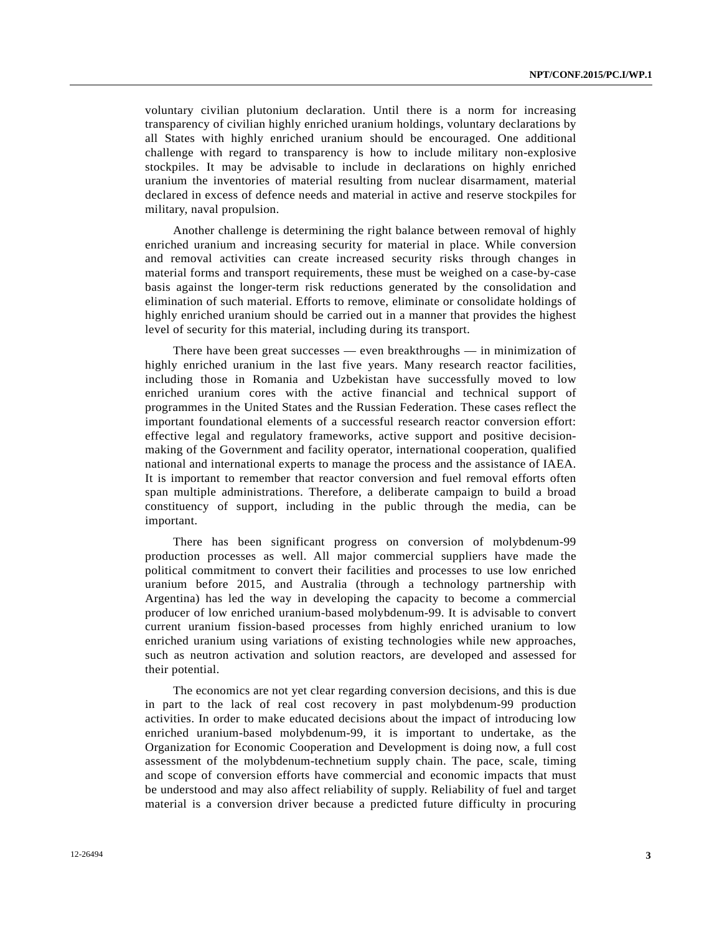voluntary civilian plutonium declaration. Until there is a norm for increasing transparency of civilian highly enriched uranium holdings, voluntary declarations by all States with highly enriched uranium should be encouraged. One additional challenge with regard to transparency is how to include military non-explosive stockpiles. It may be advisable to include in declarations on highly enriched uranium the inventories of material resulting from nuclear disarmament, material declared in excess of defence needs and material in active and reserve stockpiles for military, naval propulsion.

 Another challenge is determining the right balance between removal of highly enriched uranium and increasing security for material in place. While conversion and removal activities can create increased security risks through changes in material forms and transport requirements, these must be weighed on a case-by-case basis against the longer-term risk reductions generated by the consolidation and elimination of such material. Efforts to remove, eliminate or consolidate holdings of highly enriched uranium should be carried out in a manner that provides the highest level of security for this material, including during its transport.

 There have been great successes — even breakthroughs — in minimization of highly enriched uranium in the last five years. Many research reactor facilities, including those in Romania and Uzbekistan have successfully moved to low enriched uranium cores with the active financial and technical support of programmes in the United States and the Russian Federation. These cases reflect the important foundational elements of a successful research reactor conversion effort: effective legal and regulatory frameworks, active support and positive decisionmaking of the Government and facility operator, international cooperation, qualified national and international experts to manage the process and the assistance of IAEA. It is important to remember that reactor conversion and fuel removal efforts often span multiple administrations. Therefore, a deliberate campaign to build a broad constituency of support, including in the public through the media, can be important.

 There has been significant progress on conversion of molybdenum-99 production processes as well. All major commercial suppliers have made the political commitment to convert their facilities and processes to use low enriched uranium before 2015, and Australia (through a technology partnership with Argentina) has led the way in developing the capacity to become a commercial producer of low enriched uranium-based molybdenum-99. It is advisable to convert current uranium fission-based processes from highly enriched uranium to low enriched uranium using variations of existing technologies while new approaches, such as neutron activation and solution reactors, are developed and assessed for their potential.

 The economics are not yet clear regarding conversion decisions, and this is due in part to the lack of real cost recovery in past molybdenum-99 production activities. In order to make educated decisions about the impact of introducing low enriched uranium-based molybdenum-99, it is important to undertake, as the Organization for Economic Cooperation and Development is doing now, a full cost assessment of the molybdenum-technetium supply chain. The pace, scale, timing and scope of conversion efforts have commercial and economic impacts that must be understood and may also affect reliability of supply. Reliability of fuel and target material is a conversion driver because a predicted future difficulty in procuring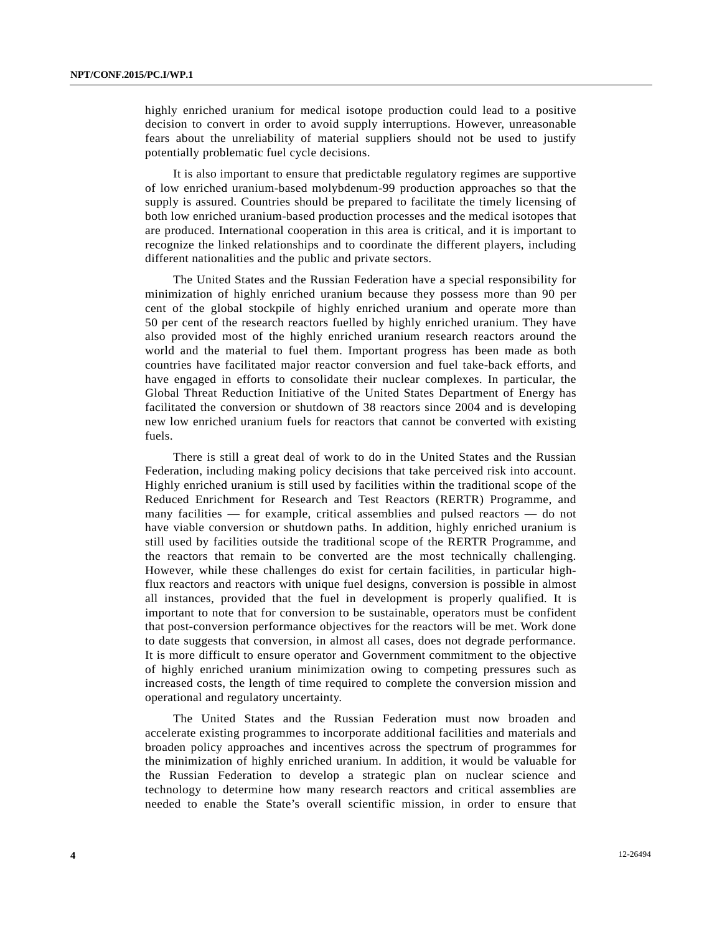highly enriched uranium for medical isotope production could lead to a positive decision to convert in order to avoid supply interruptions. However, unreasonable fears about the unreliability of material suppliers should not be used to justify potentially problematic fuel cycle decisions.

 It is also important to ensure that predictable regulatory regimes are supportive of low enriched uranium-based molybdenum-99 production approaches so that the supply is assured. Countries should be prepared to facilitate the timely licensing of both low enriched uranium-based production processes and the medical isotopes that are produced. International cooperation in this area is critical, and it is important to recognize the linked relationships and to coordinate the different players, including different nationalities and the public and private sectors.

 The United States and the Russian Federation have a special responsibility for minimization of highly enriched uranium because they possess more than 90 per cent of the global stockpile of highly enriched uranium and operate more than 50 per cent of the research reactors fuelled by highly enriched uranium. They have also provided most of the highly enriched uranium research reactors around the world and the material to fuel them. Important progress has been made as both countries have facilitated major reactor conversion and fuel take-back efforts, and have engaged in efforts to consolidate their nuclear complexes. In particular, the Global Threat Reduction Initiative of the United States Department of Energy has facilitated the conversion or shutdown of 38 reactors since 2004 and is developing new low enriched uranium fuels for reactors that cannot be converted with existing fuels.

 There is still a great deal of work to do in the United States and the Russian Federation, including making policy decisions that take perceived risk into account. Highly enriched uranium is still used by facilities within the traditional scope of the Reduced Enrichment for Research and Test Reactors (RERTR) Programme, and many facilities — for example, critical assemblies and pulsed reactors — do not have viable conversion or shutdown paths. In addition, highly enriched uranium is still used by facilities outside the traditional scope of the RERTR Programme, and the reactors that remain to be converted are the most technically challenging. However, while these challenges do exist for certain facilities, in particular highflux reactors and reactors with unique fuel designs, conversion is possible in almost all instances, provided that the fuel in development is properly qualified. It is important to note that for conversion to be sustainable, operators must be confident that post-conversion performance objectives for the reactors will be met. Work done to date suggests that conversion, in almost all cases, does not degrade performance. It is more difficult to ensure operator and Government commitment to the objective of highly enriched uranium minimization owing to competing pressures such as increased costs, the length of time required to complete the conversion mission and operational and regulatory uncertainty.

 The United States and the Russian Federation must now broaden and accelerate existing programmes to incorporate additional facilities and materials and broaden policy approaches and incentives across the spectrum of programmes for the minimization of highly enriched uranium. In addition, it would be valuable for the Russian Federation to develop a strategic plan on nuclear science and technology to determine how many research reactors and critical assemblies are needed to enable the State's overall scientific mission, in order to ensure that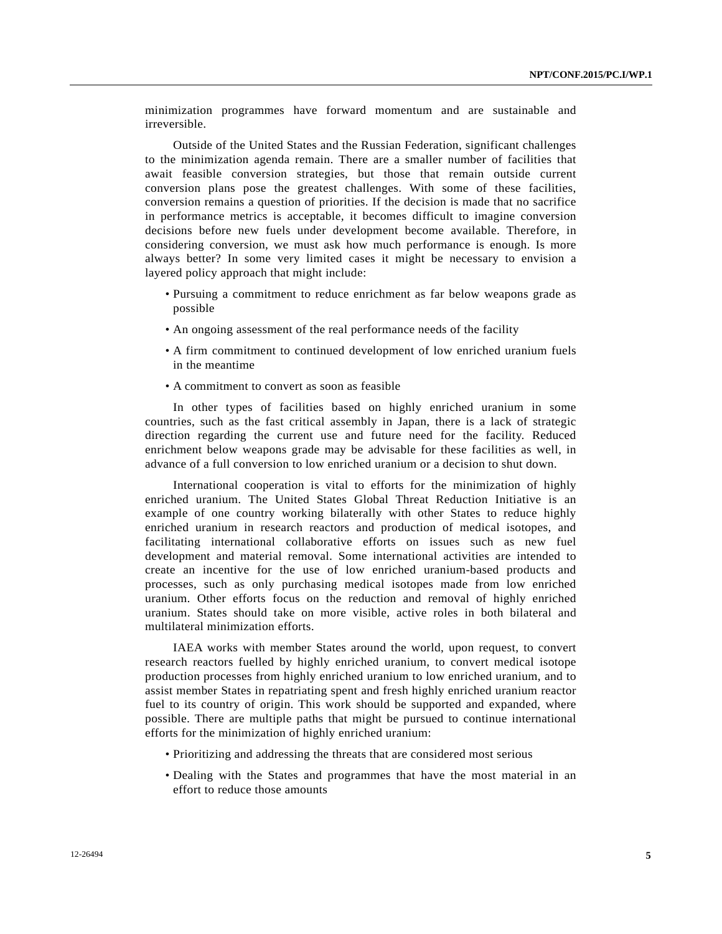minimization programmes have forward momentum and are sustainable and irreversible.

 Outside of the United States and the Russian Federation, significant challenges to the minimization agenda remain. There are a smaller number of facilities that await feasible conversion strategies, but those that remain outside current conversion plans pose the greatest challenges. With some of these facilities, conversion remains a question of priorities. If the decision is made that no sacrifice in performance metrics is acceptable, it becomes difficult to imagine conversion decisions before new fuels under development become available. Therefore, in considering conversion, we must ask how much performance is enough. Is more always better? In some very limited cases it might be necessary to envision a layered policy approach that might include:

- Pursuing a commitment to reduce enrichment as far below weapons grade as possible
- An ongoing assessment of the real performance needs of the facility
- A firm commitment to continued development of low enriched uranium fuels in the meantime
- A commitment to convert as soon as feasible

 In other types of facilities based on highly enriched uranium in some countries, such as the fast critical assembly in Japan, there is a lack of strategic direction regarding the current use and future need for the facility. Reduced enrichment below weapons grade may be advisable for these facilities as well, in advance of a full conversion to low enriched uranium or a decision to shut down.

 International cooperation is vital to efforts for the minimization of highly enriched uranium. The United States Global Threat Reduction Initiative is an example of one country working bilaterally with other States to reduce highly enriched uranium in research reactors and production of medical isotopes, and facilitating international collaborative efforts on issues such as new fuel development and material removal. Some international activities are intended to create an incentive for the use of low enriched uranium-based products and processes, such as only purchasing medical isotopes made from low enriched uranium. Other efforts focus on the reduction and removal of highly enriched uranium. States should take on more visible, active roles in both bilateral and multilateral minimization efforts.

 IAEA works with member States around the world, upon request, to convert research reactors fuelled by highly enriched uranium, to convert medical isotope production processes from highly enriched uranium to low enriched uranium, and to assist member States in repatriating spent and fresh highly enriched uranium reactor fuel to its country of origin. This work should be supported and expanded, where possible. There are multiple paths that might be pursued to continue international efforts for the minimization of highly enriched uranium:

- Prioritizing and addressing the threats that are considered most serious
- Dealing with the States and programmes that have the most material in an effort to reduce those amounts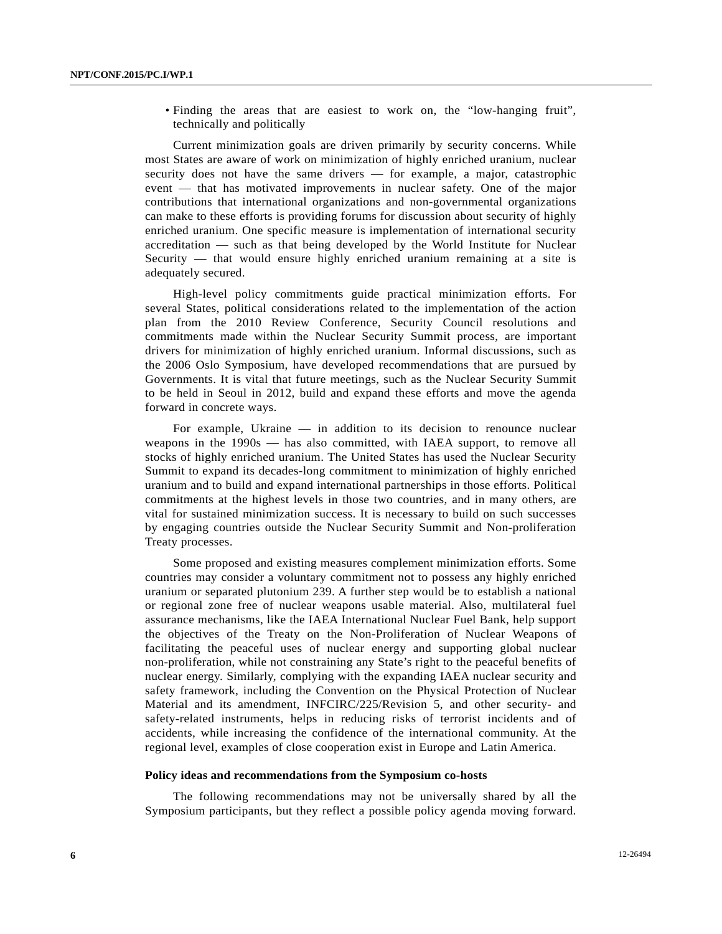• Finding the areas that are easiest to work on, the "low-hanging fruit", technically and politically

 Current minimization goals are driven primarily by security concerns. While most States are aware of work on minimization of highly enriched uranium, nuclear security does not have the same drivers — for example, a major, catastrophic event — that has motivated improvements in nuclear safety. One of the major contributions that international organizations and non-governmental organizations can make to these efforts is providing forums for discussion about security of highly enriched uranium. One specific measure is implementation of international security accreditation — such as that being developed by the World Institute for Nuclear Security — that would ensure highly enriched uranium remaining at a site is adequately secured.

 High-level policy commitments guide practical minimization efforts. For several States, political considerations related to the implementation of the action plan from the 2010 Review Conference, Security Council resolutions and commitments made within the Nuclear Security Summit process, are important drivers for minimization of highly enriched uranium. Informal discussions, such as the 2006 Oslo Symposium, have developed recommendations that are pursued by Governments. It is vital that future meetings, such as the Nuclear Security Summit to be held in Seoul in 2012, build and expand these efforts and move the agenda forward in concrete ways.

 For example, Ukraine — in addition to its decision to renounce nuclear weapons in the 1990s — has also committed, with IAEA support, to remove all stocks of highly enriched uranium. The United States has used the Nuclear Security Summit to expand its decades-long commitment to minimization of highly enriched uranium and to build and expand international partnerships in those efforts. Political commitments at the highest levels in those two countries, and in many others, are vital for sustained minimization success. It is necessary to build on such successes by engaging countries outside the Nuclear Security Summit and Non-proliferation Treaty processes.

 Some proposed and existing measures complement minimization efforts. Some countries may consider a voluntary commitment not to possess any highly enriched uranium or separated plutonium 239. A further step would be to establish a national or regional zone free of nuclear weapons usable material. Also, multilateral fuel assurance mechanisms, like the IAEA International Nuclear Fuel Bank, help support the objectives of the Treaty on the Non-Proliferation of Nuclear Weapons of facilitating the peaceful uses of nuclear energy and supporting global nuclear non-proliferation, while not constraining any State's right to the peaceful benefits of nuclear energy. Similarly, complying with the expanding IAEA nuclear security and safety framework, including the Convention on the Physical Protection of Nuclear Material and its amendment, INFCIRC/225/Revision 5, and other security- and safety-related instruments, helps in reducing risks of terrorist incidents and of accidents, while increasing the confidence of the international community. At the regional level, examples of close cooperation exist in Europe and Latin America.

#### **Policy ideas and recommendations from the Symposium co-hosts**

 The following recommendations may not be universally shared by all the Symposium participants, but they reflect a possible policy agenda moving forward.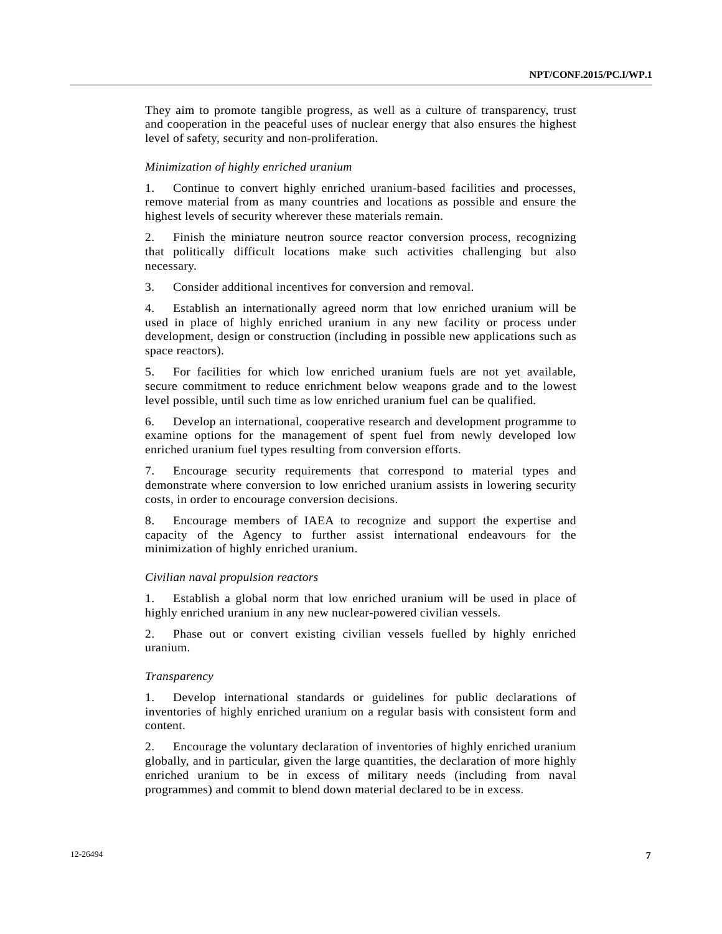They aim to promote tangible progress, as well as a culture of transparency, trust and cooperation in the peaceful uses of nuclear energy that also ensures the highest level of safety, security and non-proliferation.

#### *Minimization of highly enriched uranium*

1. Continue to convert highly enriched uranium-based facilities and processes, remove material from as many countries and locations as possible and ensure the highest levels of security wherever these materials remain.

2. Finish the miniature neutron source reactor conversion process, recognizing that politically difficult locations make such activities challenging but also necessary.

3. Consider additional incentives for conversion and removal.

4. Establish an internationally agreed norm that low enriched uranium will be used in place of highly enriched uranium in any new facility or process under development, design or construction (including in possible new applications such as space reactors).

5. For facilities for which low enriched uranium fuels are not yet available, secure commitment to reduce enrichment below weapons grade and to the lowest level possible, until such time as low enriched uranium fuel can be qualified.

6. Develop an international, cooperative research and development programme to examine options for the management of spent fuel from newly developed low enriched uranium fuel types resulting from conversion efforts.

7. Encourage security requirements that correspond to material types and demonstrate where conversion to low enriched uranium assists in lowering security costs, in order to encourage conversion decisions.

8. Encourage members of IAEA to recognize and support the expertise and capacity of the Agency to further assist international endeavours for the minimization of highly enriched uranium.

#### *Civilian naval propulsion reactors*

1. Establish a global norm that low enriched uranium will be used in place of highly enriched uranium in any new nuclear-powered civilian vessels.

2. Phase out or convert existing civilian vessels fuelled by highly enriched uranium.

#### *Transparency*

1. Develop international standards or guidelines for public declarations of inventories of highly enriched uranium on a regular basis with consistent form and content.

2. Encourage the voluntary declaration of inventories of highly enriched uranium globally, and in particular, given the large quantities, the declaration of more highly enriched uranium to be in excess of military needs (including from naval programmes) and commit to blend down material declared to be in excess.